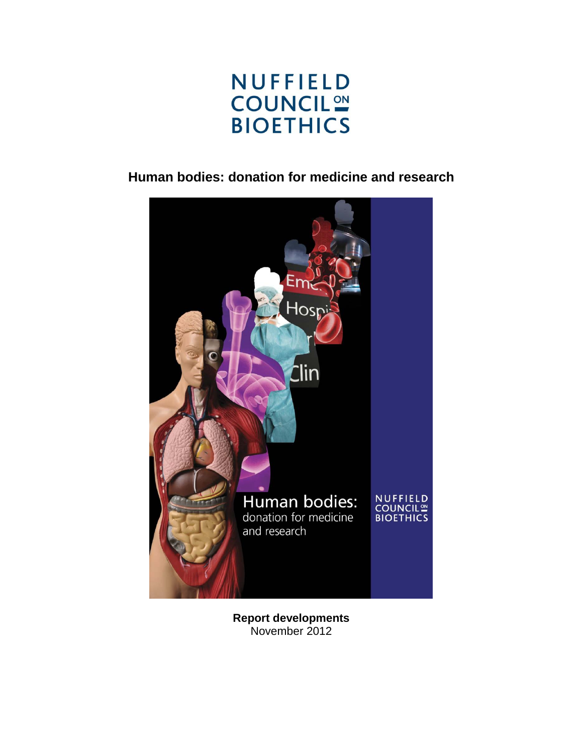

# **Human bodies: donation for medicine and research**



**Report developments** November 2012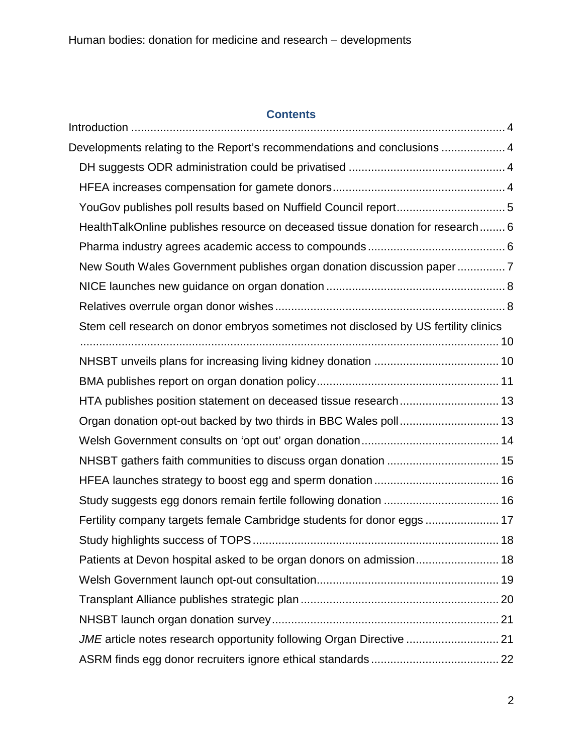# **Contents**

| Developments relating to the Report's recommendations and conclusions  4            |  |
|-------------------------------------------------------------------------------------|--|
|                                                                                     |  |
|                                                                                     |  |
| YouGov publishes poll results based on Nuffield Council report5                     |  |
| HealthTalkOnline publishes resource on deceased tissue donation for research 6      |  |
|                                                                                     |  |
| New South Wales Government publishes organ donation discussion paper7               |  |
|                                                                                     |  |
|                                                                                     |  |
| Stem cell research on donor embryos sometimes not disclosed by US fertility clinics |  |
|                                                                                     |  |
|                                                                                     |  |
|                                                                                     |  |
| HTA publishes position statement on deceased tissue research 13                     |  |
| Organ donation opt-out backed by two thirds in BBC Wales poll 13                    |  |
|                                                                                     |  |
|                                                                                     |  |
|                                                                                     |  |
| Study suggests egg donors remain fertile following donation  16                     |  |
| Fertility company targets female Cambridge students for donor eggs  17              |  |
|                                                                                     |  |
| Patients at Devon hospital asked to be organ donors on admission 18                 |  |
|                                                                                     |  |
|                                                                                     |  |
|                                                                                     |  |
| JME article notes research opportunity following Organ Directive  21                |  |
|                                                                                     |  |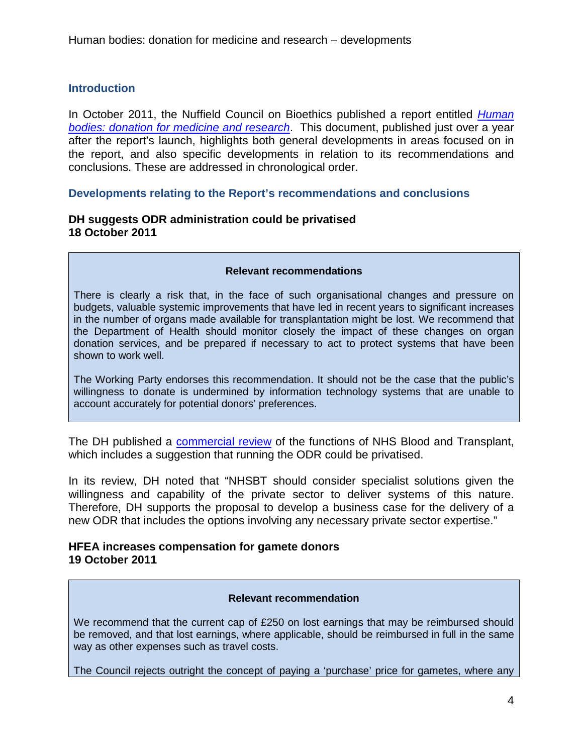# <span id="page-3-0"></span>**Introduction**

In October 2011, the Nuffield Council on Bioethics published a report entitled *[Human](http://nuffieldbioethics.org/donation)  [bodies: donation for medicine and research](http://nuffieldbioethics.org/donation)*. This document, published just over a year after the report's launch, highlights both general developments in areas focused on in the report, and also specific developments in relation to its recommendations and conclusions. These are addressed in chronological order.

### <span id="page-3-1"></span>**Developments relating to the Report's recommendations and conclusions**

# <span id="page-3-2"></span>**DH suggests ODR administration could be privatised 18 October 2011**

#### **Relevant recommendations**

There is clearly a risk that, in the face of such organisational changes and pressure on budgets, valuable systemic improvements that have led in recent years to significant increases in the number of organs made available for transplantation might be lost. We recommend that the Department of Health should monitor closely the impact of these changes on organ donation services, and be prepared if necessary to act to protect systems that have been shown to work well.

The Working Party endorses this recommendation. It should not be the case that the public's willingness to donate is undermined by information technology systems that are unable to account accurately for potential donors' preferences.

The DH published a [commercial review](http://www.dh.gov.uk/prod_consum_dh/groups/dh_digitalassets/documents/digitalasset/dh_130563.pdf) of the functions of NHS Blood and Transplant, which includes a suggestion that running the ODR could be privatised.

In its review, DH noted that "NHSBT should consider specialist solutions given the willingness and capability of the private sector to deliver systems of this nature. Therefore, DH supports the proposal to develop a business case for the delivery of a new ODR that includes the options involving any necessary private sector expertise."

# <span id="page-3-3"></span>**HFEA increases compensation for gamete donors 19 October 2011**

#### **Relevant recommendation**

We recommend that the current cap of £250 on lost earnings that may be reimbursed should be removed, and that lost earnings, where applicable, should be reimbursed in full in the same way as other expenses such as travel costs.

The Council rejects outright the concept of paying a 'purchase' price for gametes, where any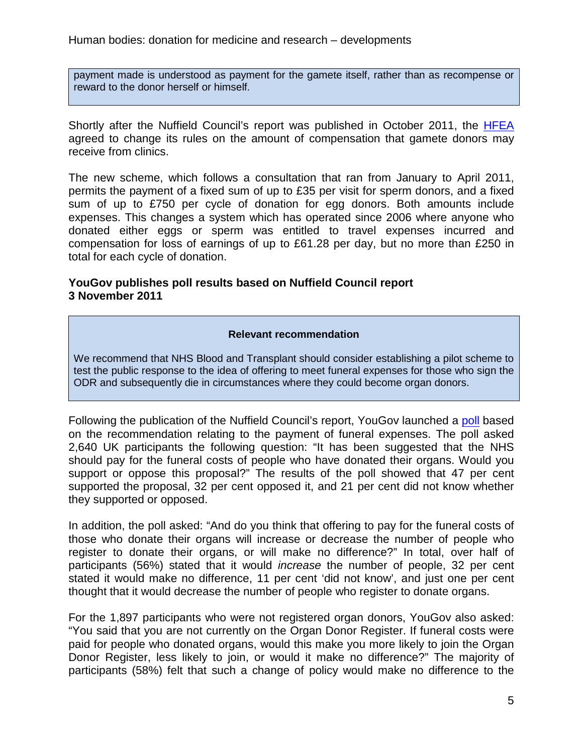payment made is understood as payment for the gamete itself, rather than as recompense or reward to the donor herself or himself.

Shortly after the Nuffield Council's report was published in October 2011, the **[HFEA](http://www.hfea.gov.uk/6700.html)** agreed to change its rules on the amount of compensation that gamete donors may receive from clinics.

The new scheme, which follows a consultation that ran from January to April 2011, permits the payment of a fixed sum of up to £35 per visit for sperm donors, and a fixed sum of up to £750 per cycle of donation for egg donors. Both amounts include expenses. This changes a system which has operated since 2006 where anyone who donated either eggs or sperm was entitled to travel expenses incurred and compensation for loss of earnings of up to £61.28 per day, but no more than £250 in total for each cycle of donation.

# <span id="page-4-0"></span>**YouGov publishes poll results based on Nuffield Council report 3 November 2011**

### **Relevant recommendation**

We recommend that NHS Blood and Transplant should consider establishing a pilot scheme to test the public response to the idea of offering to meet funeral expenses for those who sign the ODR and subsequently die in circumstances where they could become organ donors.

Following the publication of the Nuffield Council's report, YouGov launched a [poll](http://cdn.yougov.com/cumulus_uploads/document/2011-11-03/YG-Archives-YouGov-DonationCosts-031111.pdf) based on the recommendation relating to the payment of funeral expenses. The poll asked 2,640 UK participants the following question: "It has been suggested that the NHS should pay for the funeral costs of people who have donated their organs. Would you support or oppose this proposal?" The results of the poll showed that 47 per cent supported the proposal, 32 per cent opposed it, and 21 per cent did not know whether they supported or opposed.

In addition, the poll asked: "And do you think that offering to pay for the funeral costs of those who donate their organs will increase or decrease the number of people who register to donate their organs, or will make no difference?" In total, over half of participants (56%) stated that it would *increase* the number of people, 32 per cent stated it would make no difference, 11 per cent 'did not know', and just one per cent thought that it would decrease the number of people who register to donate organs.

For the 1,897 participants who were not registered organ donors, YouGov also asked: "You said that you are not currently on the Organ Donor Register. If funeral costs were paid for people who donated organs, would this make you more likely to join the Organ Donor Register, less likely to join, or would it make no difference?" The majority of participants (58%) felt that such a change of policy would make no difference to the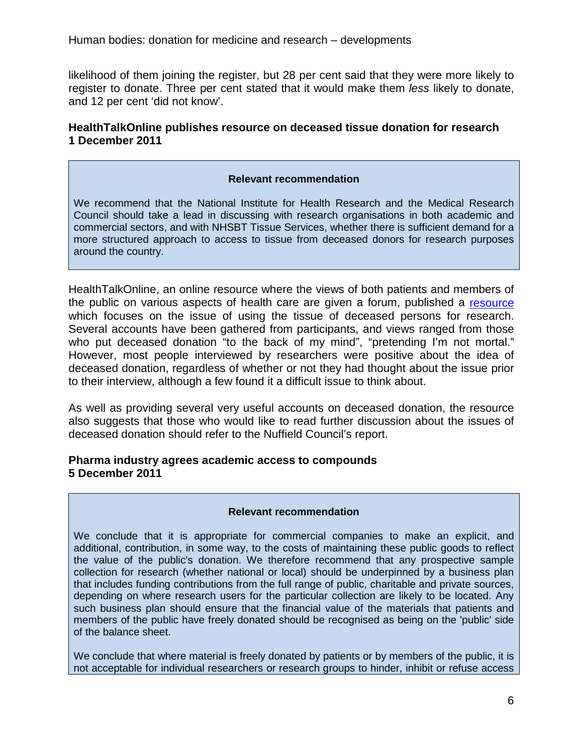likelihood of them joining the register, but 28 per cent said that they were more likely to register to donate. Three per cent stated that it would make them *less* likely to donate, and 12 per cent 'did not know'.

# <span id="page-5-0"></span>**HealthTalkOnline publishes resource on deceased tissue donation for research 1 December 2011**

### **Relevant recommendation**

We recommend that the National Institute for Health Research and the Medical Research Council should take a lead in discussing with research organisations in both academic and commercial sectors, and with NHSBT Tissue Services, whether there is sufficient demand for a more structured approach to access to tissue from deceased donors for research purposes around the country.

HealthTalkOnline, an online resource where the views of both patients and members of the public on various aspects of health care are given a forum, published a [resource](http://www.healthtalkonline.org/medical_research/Biobanking/Topic/4193/) which focuses on the issue of using the tissue of deceased persons for research. Several accounts have been gathered from participants, and views ranged from those who put deceased donation "to the back of my mind", "pretending I'm not mortal." However, most people interviewed by researchers were positive about the idea of deceased donation, regardless of whether or not they had thought about the issue prior to their interview, although a few found it a difficult issue to think about.

As well as providing several very useful accounts on deceased donation, the resource also suggests that those who would like to read further discussion about the issues of deceased donation should refer to the Nuffield Council's report.

### <span id="page-5-1"></span>**Pharma industry agrees academic access to compounds 5 December 2011**

### **Relevant recommendation**

We conclude that it is appropriate for commercial companies to make an explicit, and additional, contribution, in some way, to the costs of maintaining these public goods to reflect the value of the public's donation. We therefore recommend that any prospective sample collection for research (whether national or local) should be underpinned by a business plan that includes funding contributions from the full range of public, charitable and private sources, depending on where research users for the particular collection are likely to be located. Any such business plan should ensure that the financial value of the materials that patients and members of the public have freely donated should be recognised as being on the 'public' side of the balance sheet.

We conclude that where material is freely donated by patients or by members of the public, it is not acceptable for individual researchers or research groups to hinder, inhibit or refuse access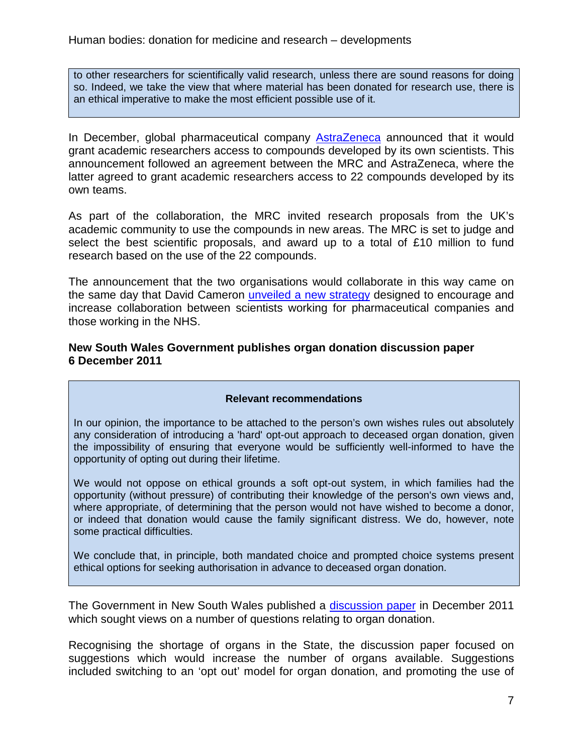to other researchers for scientifically valid research, unless there are sound reasons for doing so. Indeed, we take the view that where material has been donated for research use, there is an ethical imperative to make the most efficient possible use of it.

In December, global pharmaceutical company [AstraZeneca](http://www.astrazeneca.com/Media/Press-releases/Article/20110512-groundbreaking-scientific-collaboration-and-uk-academia) announced that it would grant academic researchers access to compounds developed by its own scientists. This announcement followed an agreement between the MRC and AstraZeneca, where the latter agreed to grant academic researchers access to 22 compounds developed by its own teams.

As part of the collaboration, the MRC invited research proposals from the UK's academic community to use the compounds in new areas. The MRC is set to judge and select the best scientific proposals, and award up to a total of £10 million to fund research based on the use of the 22 compounds.

The announcement that the two organisations would collaborate in this way came on the same day that David Cameron [unveiled a new strategy](http://www.guardian.co.uk/society/2011/dec/05/cameron-nhs-sale-life-sciences) designed to encourage and increase collaboration between scientists working for pharmaceutical companies and those working in the NHS.

## <span id="page-6-0"></span>**New South Wales Government publishes organ donation discussion paper 6 December 2011**

### **Relevant recommendations**

In our opinion, the importance to be attached to the person's own wishes rules out absolutely any consideration of introducing a 'hard' opt-out approach to deceased organ donation, given the impossibility of ensuring that everyone would be sufficiently well-informed to have the opportunity of opting out during their lifetime.

We would not oppose on ethical grounds a soft opt-out system, in which families had the opportunity (without pressure) of contributing their knowledge of the person's own views and, where appropriate, of determining that the person would not have wished to become a donor, or indeed that donation would cause the family significant distress. We do, however, note some practical difficulties.

We conclude that, in principle, both mandated choice and prompted choice systems present ethical options for seeking authorisation in advance to deceased organ donation.

The Government in New South Wales published a [discussion paper](http://www.health.nsw.gov.au/pubs/2011/pdf/increasing_organ_donation.pdf) in December 2011 which sought views on a number of questions relating to organ donation.

Recognising the shortage of organs in the State, the discussion paper focused on suggestions which would increase the number of organs available. Suggestions included switching to an 'opt out' model for organ donation, and promoting the use of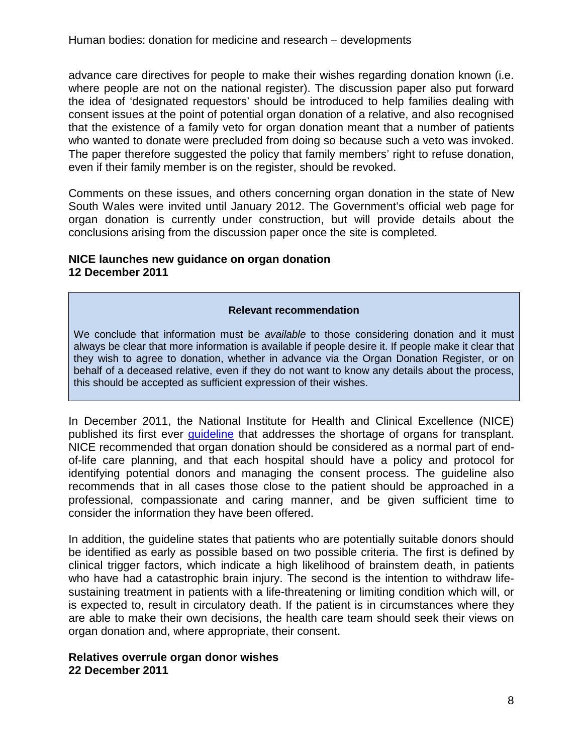advance care directives for people to make their wishes regarding donation known (i.e. where people are not on the national register). The discussion paper also put forward the idea of 'designated requestors' should be introduced to help families dealing with consent issues at the point of potential organ donation of a relative, and also recognised that the existence of a family veto for organ donation meant that a number of patients who wanted to donate were precluded from doing so because such a veto was invoked. The paper therefore suggested the policy that family members' right to refuse donation, even if their family member is on the register, should be revoked.

Comments on these issues, and others concerning organ donation in the state of New South Wales were invited until January 2012. The Government's official web page for organ donation is currently under construction, but will provide details about the conclusions arising from the discussion paper once the site is completed.

# <span id="page-7-0"></span>**NICE launches new guidance on organ donation 12 December 2011**

### **Relevant recommendation**

We conclude that information must be *available* to those considering donation and it must always be clear that more information is available if people desire it. If people make it clear that they wish to agree to donation, whether in advance via the Organ Donation Register, or on behalf of a deceased relative, even if they do not want to know any details about the process, this should be accepted as sufficient expression of their wishes.

In December 2011, the National Institute for Health and Clinical Excellence (NICE) published its first ever guideline that addresses the shortage of organs for transplant. NICE recommended that organ donation should be considered as a normal part of endof-life care planning, and that each hospital should have a policy and protocol for identifying potential donors and managing the consent process. The guideline also recommends that in all cases those close to the patient should be approached in a professional, compassionate and caring manner, and be given sufficient time to consider the information they have been offered.

In addition, the guideline states that patients who are potentially suitable donors should be identified as early as possible based on two possible criteria. The first is defined by clinical trigger factors, which indicate a high likelihood of brainstem death, in patients who have had a catastrophic brain injury. The second is the intention to withdraw lifesustaining treatment in patients with a life-threatening or limiting condition which will, or is expected to, result in circulatory death. If the patient is in circumstances where they are able to make their own decisions, the health care team should seek their views on organ donation and, where appropriate, their consent.

# <span id="page-7-1"></span>**Relatives overrule organ donor wishes 22 December 2011**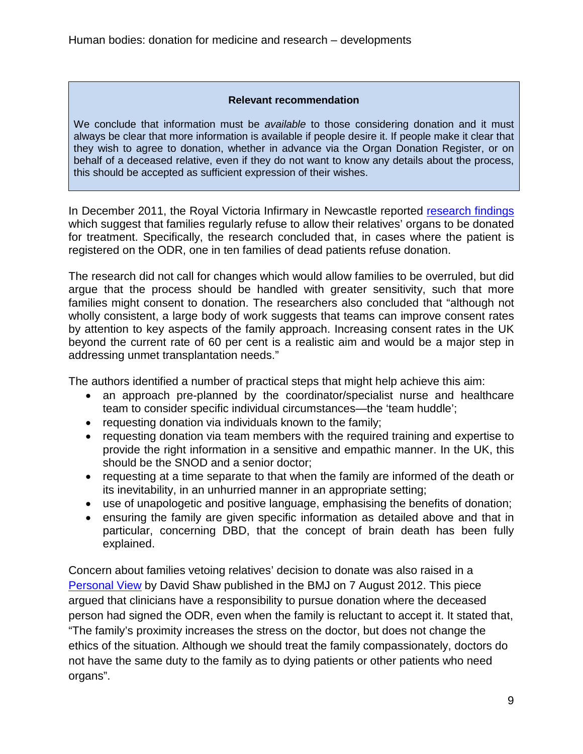### **Relevant recommendation**

We conclude that information must be *available* to those considering donation and it must always be clear that more information is available if people desire it. If people make it clear that they wish to agree to donation, whether in advance via the Organ Donation Register, or on behalf of a deceased relative, even if they do not want to know any details about the process, this should be accepted as sufficient expression of their wishes.

In December 2011, the Royal Victoria Infirmary in Newcastle reported [research findings](http://bja.oxfordjournals.org/content/108/suppl_1/i80.abstract) which suggest that families regularly refuse to allow their relatives' organs to be donated for treatment. Specifically, the research concluded that, in cases where the patient is registered on the ODR, one in ten families of dead patients refuse donation.

The research did not call for changes which would allow families to be overruled, but did argue that the process should be handled with greater sensitivity, such that more families might consent to donation. The researchers also concluded that "although not wholly consistent, a large body of work suggests that teams can improve consent rates by attention to key aspects of the family approach. Increasing consent rates in the UK beyond the current rate of 60 per cent is a realistic aim and would be a major step in addressing unmet transplantation needs."

The authors identified a number of practical steps that might help achieve this aim:

- an approach pre-planned by the coordinator/specialist nurse and healthcare team to consider specific individual circumstances—the 'team huddle';
- requesting donation via individuals known to the family;
- requesting donation via team members with the required training and expertise to provide the right information in a sensitive and empathic manner. In the UK, this should be the SNOD and a senior doctor;
- requesting at a time separate to that when the family are informed of the death or its inevitability, in an unhurried manner in an appropriate setting;
- use of unapologetic and positive language, emphasising the benefits of donation;
- ensuring the family are given specific information as detailed above and that in particular, concerning DBD, that the concept of brain death has been fully explained.

Concern about families vetoing relatives' decision to donate was also raised in a [Personal View](http://www.bmj.com/content/345/bmj.e5275) by David Shaw published in the BMJ on 7 August 2012. This piece argued that clinicians have a responsibility to pursue donation where the deceased person had signed the ODR, even when the family is reluctant to accept it. It stated that, "The family's proximity increases the stress on the doctor, but does not change the ethics of the situation. Although we should treat the family compassionately, doctors do not have the same duty to the family as to dying patients or other patients who need organs".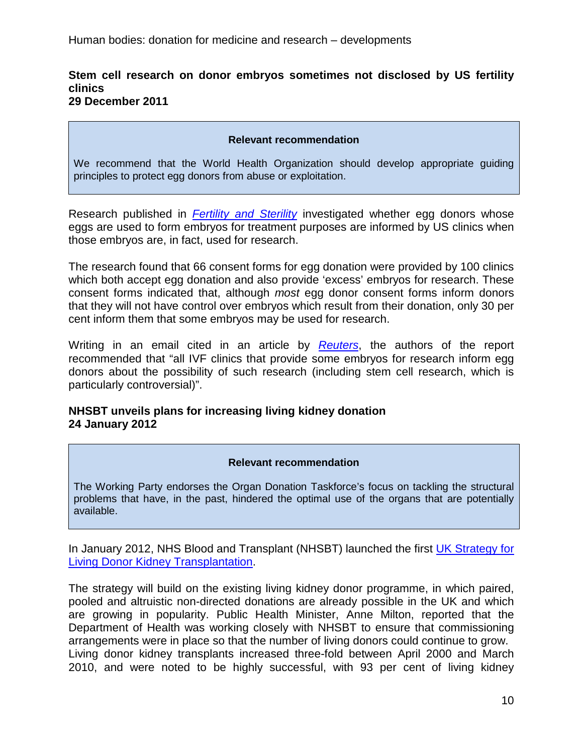### <span id="page-9-0"></span>**Stem cell research on donor embryos sometimes not disclosed by US fertility clinics 29 December 2011**

#### **Relevant recommendation**

We recommend that the World Health Organization should develop appropriate guiding principles to protect egg donors from abuse or exploitation.

Research published in *[Fertility and Sterility](http://www.fertstert.org/article/S0015-0282%2811%2902811-1/abstract)* investigated whether egg donors whose eggs are used to form embryos for treatment purposes are informed by US clinics when those embryos are, in fact, used for research.

The research found that 66 consent forms for egg donation were provided by 100 clinics which both accept egg donation and also provide 'excess' embryos for research. These consent forms indicated that, although *most* egg donor consent forms inform donors that they will not have control over embryos which result from their donation, only 30 per cent inform them that some embryos may be used for research.

Writing in an email cited in an article by *[Reuters](http://uk.reuters.com/article/2011/12/29/us-stem-cell-idUKTRE7BS19A20111229)*, the authors of the report recommended that "all IVF clinics that provide some embryos for research inform egg donors about the possibility of such research (including stem cell research, which is particularly controversial)".

# <span id="page-9-1"></span>**NHSBT unveils plans for increasing living kidney donation 24 January 2012**

#### **Relevant recommendation**

The Working Party endorses the Organ Donation Taskforce's focus on tackling the structural problems that have, in the past, hindered the optimal use of the organs that are potentially available.

In January 2012, NHS Blood and Transplant (NHSBT) launched the first [UK Strategy for](http://www.nhsbt.nhs.uk/news/2012/newsrelease240112.html)  [Living Donor Kidney Transplantation.](http://www.nhsbt.nhs.uk/news/2012/newsrelease240112.html)

The strategy will build on the existing living kidney donor programme, in which paired, pooled and altruistic non-directed donations are already possible in the UK and which are growing in popularity. Public Health Minister, Anne Milton, reported that the Department of Health was working closely with NHSBT to ensure that commissioning arrangements were in place so that the number of living donors could continue to grow. Living donor kidney transplants increased three-fold between April 2000 and March 2010, and were noted to be highly successful, with 93 per cent of living kidney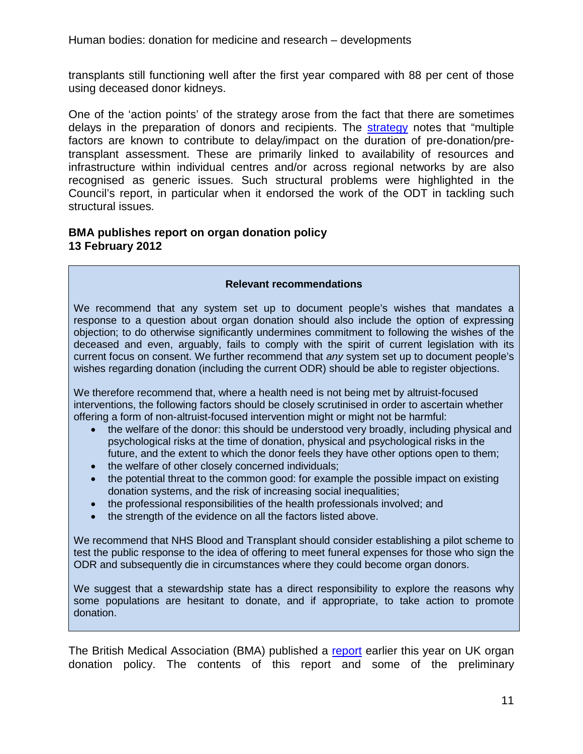Human bodies: donation for medicine and research – developments

transplants still functioning well after the first year compared with 88 per cent of those using deceased donor kidneys.

One of the 'action points' of the strategy arose from the fact that there are sometimes delays in the preparation of donors and recipients. The [strategy](http://www.nhsbt.nhs.uk/downloads/board_papers/sept12/r12_90_Living_Kidney_Donor_Strategy_update_Sept_12.pdf) notes that "multiple factors are known to contribute to delay/impact on the duration of pre-donation/pretransplant assessment. These are primarily linked to availability of resources and infrastructure within individual centres and/or across regional networks by are also recognised as generic issues. Such structural problems were highlighted in the Council's report, in particular when it endorsed the work of the ODT in tackling such structural issues.

## <span id="page-10-0"></span>**BMA publishes report on organ donation policy 13 February 2012**

#### **Relevant recommendations**

We recommend that any system set up to document people's wishes that mandates a response to a question about organ donation should also include the option of expressing objection; to do otherwise significantly undermines commitment to following the wishes of the deceased and even, arguably, fails to comply with the spirit of current legislation with its current focus on consent. We further recommend that *any* system set up to document people's wishes regarding donation (including the current ODR) should be able to register objections.

We therefore recommend that, where a health need is not being met by altruist-focused interventions, the following factors should be closely scrutinised in order to ascertain whether offering a form of non-altruist-focused intervention might or might not be harmful:

- the welfare of the donor: this should be understood very broadly, including physical and psychological risks at the time of donation, physical and psychological risks in the future, and the extent to which the donor feels they have other options open to them;
- the welfare of other closely concerned individuals;
- the potential threat to the common good: for example the possible impact on existing donation systems, and the risk of increasing social inequalities;
- the professional responsibilities of the health professionals involved; and
- the strength of the evidence on all the factors listed above.

We recommend that NHS Blood and Transplant should consider establishing a pilot scheme to test the public response to the idea of offering to meet funeral expenses for those who sign the ODR and subsequently die in circumstances where they could become organ donors.

We suggest that a stewardship state has a direct responsibility to explore the reasons why some populations are hesitant to donate, and if appropriate, to take action to promote donation.

The British Medical Association (BMA) published a [report](http://bma.org.uk/working-for-change/improving-and-protecting-health/organ-donation) earlier this year on UK organ donation policy. The contents of this report and some of the preliminary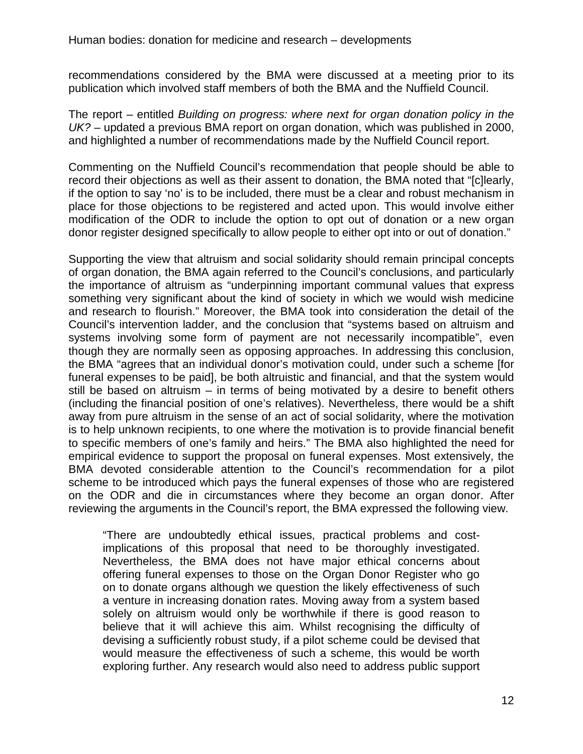recommendations considered by the BMA were discussed at a meeting prior to its publication which involved staff members of both the BMA and the Nuffield Council.

The report – entitled *Building on progress: where next for organ donation policy in the UK?* – updated a previous BMA report on organ donation, which was published in 2000, and highlighted a number of recommendations made by the Nuffield Council report.

Commenting on the Nuffield Council's recommendation that people should be able to record their objections as well as their assent to donation, the BMA noted that "[c]learly, if the option to say 'no' is to be included, there must be a clear and robust mechanism in place for those objections to be registered and acted upon. This would involve either modification of the ODR to include the option to opt out of donation or a new organ donor register designed specifically to allow people to either opt into or out of donation."

Supporting the view that altruism and social solidarity should remain principal concepts of organ donation, the BMA again referred to the Council's conclusions, and particularly the importance of altruism as "underpinning important communal values that express something very significant about the kind of society in which we would wish medicine and research to flourish." Moreover, the BMA took into consideration the detail of the Council's intervention ladder, and the conclusion that "systems based on altruism and systems involving some form of payment are not necessarily incompatible", even though they are normally seen as opposing approaches. In addressing this conclusion, the BMA "agrees that an individual donor's motivation could, under such a scheme [for funeral expenses to be paid], be both altruistic and financial, and that the system would still be based on altruism – in terms of being motivated by a desire to benefit others (including the financial position of one's relatives). Nevertheless, there would be a shift away from pure altruism in the sense of an act of social solidarity, where the motivation is to help unknown recipients, to one where the motivation is to provide financial benefit to specific members of one's family and heirs." The BMA also highlighted the need for empirical evidence to support the proposal on funeral expenses. Most extensively, the BMA devoted considerable attention to the Council's recommendation for a pilot scheme to be introduced which pays the funeral expenses of those who are registered on the ODR and die in circumstances where they become an organ donor. After reviewing the arguments in the Council's report, the BMA expressed the following view.

"There are undoubtedly ethical issues, practical problems and costimplications of this proposal that need to be thoroughly investigated. Nevertheless, the BMA does not have major ethical concerns about offering funeral expenses to those on the Organ Donor Register who go on to donate organs although we question the likely effectiveness of such a venture in increasing donation rates. Moving away from a system based solely on altruism would only be worthwhile if there is good reason to believe that it will achieve this aim. Whilst recognising the difficulty of devising a sufficiently robust study, if a pilot scheme could be devised that would measure the effectiveness of such a scheme, this would be worth exploring further. Any research would also need to address public support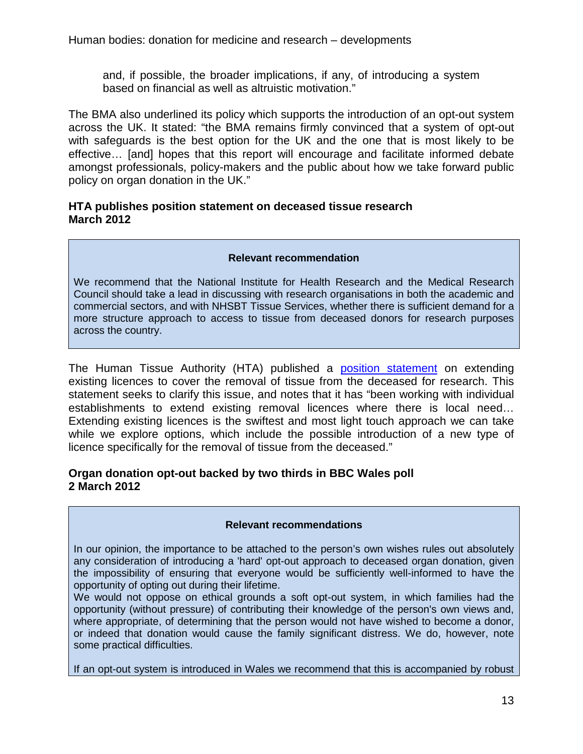and, if possible, the broader implications, if any, of introducing a system based on financial as well as altruistic motivation."

The BMA also underlined its policy which supports the introduction of an opt-out system across the UK. It stated: "the BMA remains firmly convinced that a system of opt-out with safeguards is the best option for the UK and the one that is most likely to be effective… [and] hopes that this report will encourage and facilitate informed debate amongst professionals, policy-makers and the public about how we take forward public policy on organ donation in the UK."

### <span id="page-12-0"></span>**HTA publishes position statement on deceased tissue research March 2012**

### **Relevant recommendation**

We recommend that the National Institute for Health Research and the Medical Research Council should take a lead in discussing with research organisations in both the academic and commercial sectors, and with NHSBT Tissue Services, whether there is sufficient demand for a more structure approach to access to tissue from deceased donors for research purposes across the country.

The Human Tissue Authority (HTA) published a [position statement](http://www.hta.gov.uk/legislationpoliciesandcodesofpractice/statementonextendingexistinglicencestocovertheremovaloftissuefromthedeceasedforresear.cfm) on extending existing licences to cover the removal of tissue from the deceased for research. This statement seeks to clarify this issue, and notes that it has "been working with individual establishments to extend existing removal licences where there is local need… Extending existing licences is the swiftest and most light touch approach we can take while we explore options, which include the possible introduction of a new type of licence specifically for the removal of tissue from the deceased."

### <span id="page-12-1"></span>**Organ donation opt-out backed by two thirds in BBC Wales poll 2 March 2012**

### **Relevant recommendations**

In our opinion, the importance to be attached to the person's own wishes rules out absolutely any consideration of introducing a 'hard' opt-out approach to deceased organ donation, given the impossibility of ensuring that everyone would be sufficiently well-informed to have the opportunity of opting out during their lifetime.

We would not oppose on ethical grounds a soft opt-out system, in which families had the opportunity (without pressure) of contributing their knowledge of the person's own views and, where appropriate, of determining that the person would not have wished to become a donor, or indeed that donation would cause the family significant distress. We do, however, note some practical difficulties.

If an opt-out system is introduced in Wales we recommend that this is accompanied by robust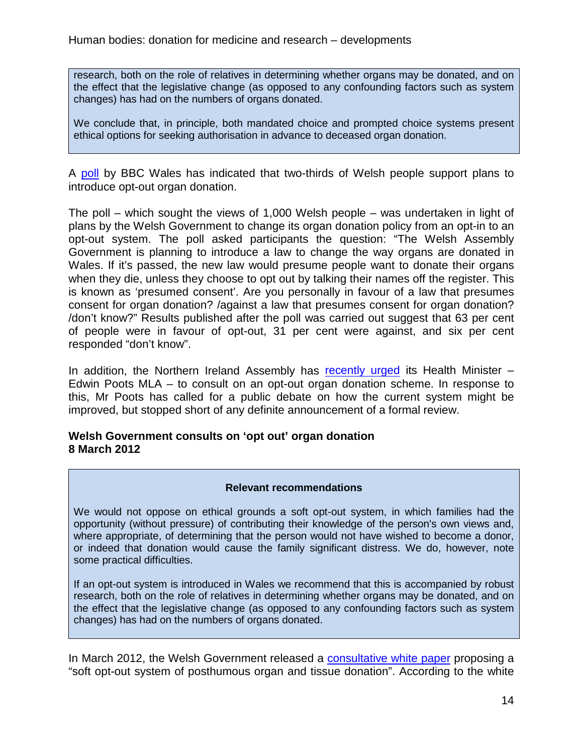research, both on the role of relatives in determining whether organs may be donated, and on the effect that the legislative change (as opposed to any confounding factors such as system changes) has had on the numbers of organs donated.

We conclude that, in principle, both mandated choice and prompted choice systems present ethical options for seeking authorisation in advance to deceased organ donation.

A [poll](http://news.bbc.co.uk/1/shared/bsp/hi/pdfs/29_2_12_bbcwalespoll.pdf) by BBC Wales has indicated that two-thirds of Welsh people support plans to introduce opt-out organ donation.

The poll – which sought the views of 1,000 Welsh people – was undertaken in light of plans by the Welsh Government to change its organ donation policy from an opt-in to an opt-out system. The poll asked participants the question: "The Welsh Assembly Government is planning to introduce a law to change the way organs are donated in Wales. If it's passed, the new law would presume people want to donate their organs when they die, unless they choose to opt out by talking their names off the register. This is known as 'presumed consent'. Are you personally in favour of a law that presumes consent for organ donation? /against a law that presumes consent for organ donation? /don't know?" Results published after the poll was carried out suggest that 63 per cent of people were in favour of opt-out, 31 per cent were against, and six per cent responded "don't know".

In addition, the Northern Ireland Assembly has [recently urged](http://www.bbc.co.uk/news/uk-northern-ireland-17114425) its Health Minister – Edwin Poots MLA – to consult on an opt-out organ donation scheme. In response to this, Mr Poots has called for a public debate on how the current system might be improved, but stopped short of any definite announcement of a formal review.

# <span id="page-13-0"></span>**Welsh Government consults on 'opt out' organ donation 8 March 2012**

### **Relevant recommendations**

We would not oppose on ethical grounds a soft opt-out system, in which families had the opportunity (without pressure) of contributing their knowledge of the person's own views and, where appropriate, of determining that the person would not have wished to become a donor, or indeed that donation would cause the family significant distress. We do, however, note some practical difficulties.

If an opt-out system is introduced in Wales we recommend that this is accompanied by robust research, both on the role of relatives in determining whether organs may be donated, and on the effect that the legislative change (as opposed to any confounding factors such as system changes) has had on the numbers of organs donated.

In March 2012, the Welsh Government released a **consultative white paper** proposing a "soft opt-out system of posthumous organ and tissue donation". According to the white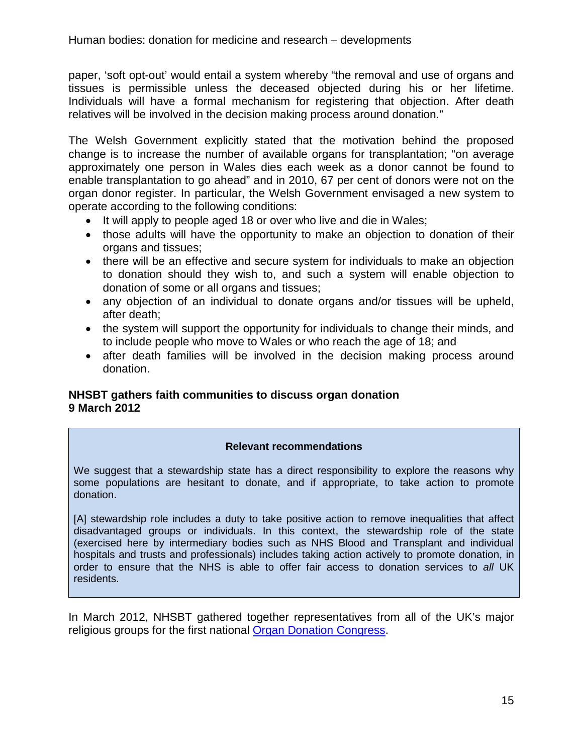paper, 'soft opt-out' would entail a system whereby "the removal and use of organs and tissues is permissible unless the deceased objected during his or her lifetime. Individuals will have a formal mechanism for registering that objection. After death relatives will be involved in the decision making process around donation."

The Welsh Government explicitly stated that the motivation behind the proposed change is to increase the number of available organs for transplantation; "on average approximately one person in Wales dies each week as a donor cannot be found to enable transplantation to go ahead" and in 2010, 67 per cent of donors were not on the organ donor register. In particular, the Welsh Government envisaged a new system to operate according to the following conditions:

- It will apply to people aged 18 or over who live and die in Wales;
- those adults will have the opportunity to make an objection to donation of their organs and tissues;
- there will be an effective and secure system for individuals to make an objection to donation should they wish to, and such a system will enable objection to donation of some or all organs and tissues;
- any objection of an individual to donate organs and/or tissues will be upheld, after death;
- the system will support the opportunity for individuals to change their minds, and to include people who move to Wales or who reach the age of 18; and
- after death families will be involved in the decision making process around donation.

# <span id="page-14-0"></span>**NHSBT gathers faith communities to discuss organ donation 9 March 2012**

### **Relevant recommendations**

We suggest that a stewardship state has a direct responsibility to explore the reasons why some populations are hesitant to donate, and if appropriate, to take action to promote donation.

[A] stewardship role includes a duty to take positive action to remove inequalities that affect disadvantaged groups or individuals. In this context, the stewardship role of the state (exercised here by intermediary bodies such as NHS Blood and Transplant and individual hospitals and trusts and professionals) includes taking action actively to promote donation, in order to ensure that the NHS is able to offer fair access to donation services to *all* UK residents.

In March 2012, NHSBT gathered together representatives from all of the UK's major religious groups for the first national [Organ Donation Congress.](http://www.nhsbt.nhs.uk/news/2012/newsrelease090312.html)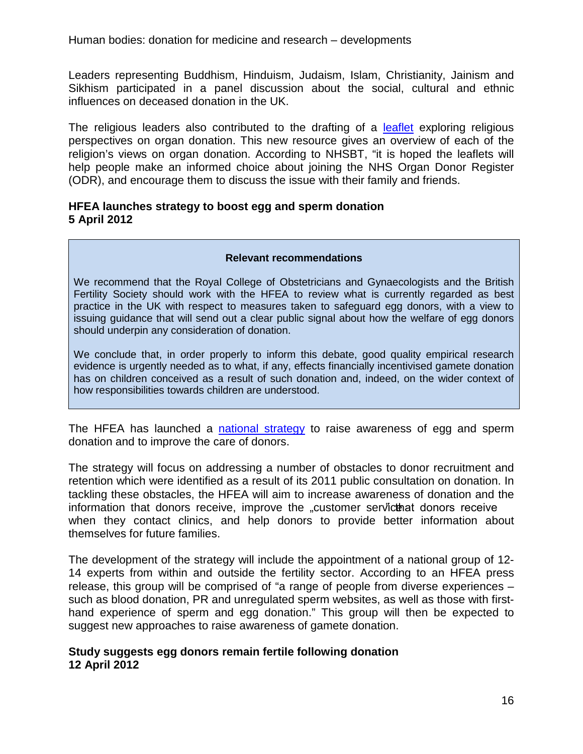Leaders representing Buddhism, Hinduism, Judaism, Islam, Christianity, Jainism and Sikhism participated in a panel discussion about the social, cultural and ethnic influences on deceased donation in the UK.

The religious leaders also contributed to the drafting of a [leaflet](http://www.organdonation.nhs.uk/ukt/how_to_become_a_donor/religious_perspectives/) exploring religious perspectives on organ donation. This new resource gives an overview of each of the religion's views on organ donation. According to NHSBT, "it is hoped the leaflets will help people make an informed choice about joining the NHS Organ Donor Register (ODR), and encourage them to discuss the issue with their family and friends.

### <span id="page-15-0"></span>**HFEA launches strategy to boost egg and sperm donation 5 April 2012**

### **Relevant recommendations**

We recommend that the Royal College of Obstetricians and Gynaecologists and the British Fertility Society should work with the HFEA to review what is currently regarded as best practice in the UK with respect to measures taken to safeguard egg donors, with a view to issuing guidance that will send out a clear public signal about how the welfare of egg donors should underpin any consideration of donation.

We conclude that, in order properly to inform this debate, good quality empirical research evidence is urgently needed as to what, if any, effects financially incentivised gamete donation has on children conceived as a result of such donation and, indeed, on the wider context of how responsibilities towards children are understood.

The HFEA has launched a [national strategy](http://www.hfea.gov.uk/7142.html) to raise awareness of egg and sperm donation and to improve the care of donors.

The strategy will focus on addressing a number of obstacles to donor recruitment and retention which were identified as a result of its 2011 public consultation on donation. In tackling these obstacles, the HFEA will aim to increase awareness of donation and the information that donors receive, improve the "customer servicthat donors receive when they contact clinics, and help donors to provide better information about themselves for future families.

The development of the strategy will include the appointment of a national group of 12- 14 experts from within and outside the fertility sector. According to an HFEA press release, this group will be comprised of "a range of people from diverse experiences – such as blood donation, PR and unregulated sperm websites, as well as those with firsthand experience of sperm and egg donation." This group will then be expected to suggest new approaches to raise awareness of gamete donation.

### <span id="page-15-1"></span>**Study suggests egg donors remain fertile following donation 12 April 2012**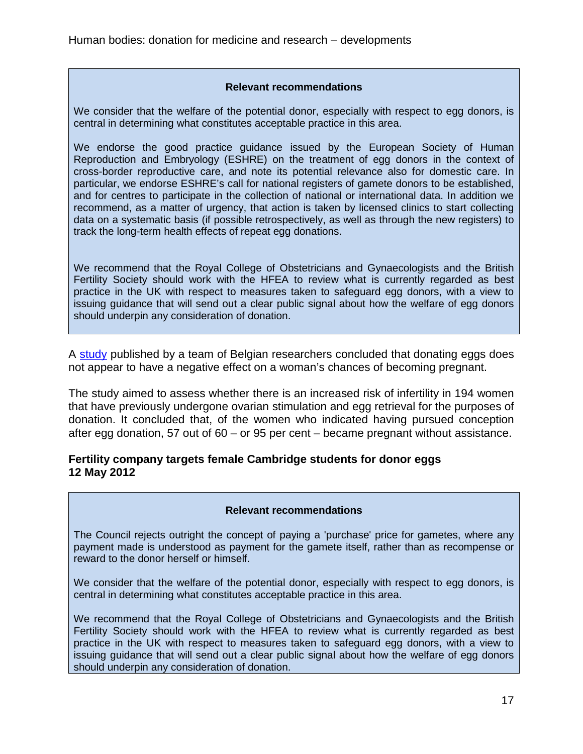### **Relevant recommendations**

We consider that the welfare of the potential donor, especially with respect to egg donors, is central in determining what constitutes acceptable practice in this area.

We endorse the good practice guidance issued by the European Society of Human Reproduction and Embryology (ESHRE) on the treatment of egg donors in the context of cross-border reproductive care, and note its potential relevance also for domestic care. In particular, we endorse ESHRE's call for national registers of gamete donors to be established, and for centres to participate in the collection of national or international data. In addition we recommend, as a matter of urgency, that action is taken by licensed clinics to start collecting data on a systematic basis (if possible retrospectively, as well as through the new registers) to track the long-term health effects of repeat egg donations.

We recommend that the Royal College of Obstetricians and Gynaecologists and the British Fertility Society should work with the HFEA to review what is currently regarded as best practice in the UK with respect to measures taken to safeguard egg donors, with a view to issuing guidance that will send out a clear public signal about how the welfare of egg donors should underpin any consideration of donation.

A [study](http://www.fertstert.org/article/S0015-0282%2812%2900326-3/abstract) published by a team of Belgian researchers concluded that donating eggs does not appear to have a negative effect on a woman's chances of becoming pregnant.

The study aimed to assess whether there is an increased risk of infertility in 194 women that have previously undergone ovarian stimulation and egg retrieval for the purposes of donation. It concluded that, of the women who indicated having pursued conception after egg donation, 57 out of 60 – or 95 per cent – became pregnant without assistance.

### <span id="page-16-0"></span>**Fertility company targets female Cambridge students for donor eggs 12 May 2012**

### **Relevant recommendations**

The Council rejects outright the concept of paying a 'purchase' price for gametes, where any payment made is understood as payment for the gamete itself, rather than as recompense or reward to the donor herself or himself.

We consider that the welfare of the potential donor, especially with respect to egg donors, is central in determining what constitutes acceptable practice in this area.

We recommend that the Royal College of Obstetricians and Gynaecologists and the British Fertility Society should work with the HFEA to review what is currently regarded as best practice in the UK with respect to measures taken to safeguard egg donors, with a view to issuing guidance that will send out a clear public signal about how the welfare of egg donors should underpin any consideration of donation.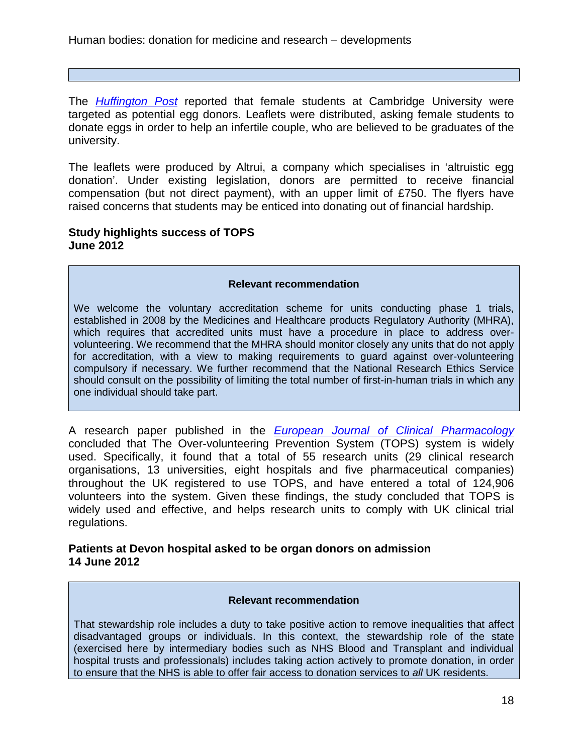The *[Huffington Post](http://www.huffingtonpost.co.uk/2012/05/12/cambridge-students-offered-money-egg-donation_n_1511473.html)* reported that female students at Cambridge University were targeted as potential egg donors. Leaflets were distributed, asking female students to donate eggs in order to help an infertile couple, who are believed to be graduates of the university.

The leaflets were produced by Altrui, a company which specialises in 'altruistic egg donation'. Under existing legislation, donors are permitted to receive financial compensation (but not direct payment), with an upper limit of £750. The flyers have raised concerns that students may be enticed into donating out of financial hardship.

# <span id="page-17-0"></span>**Study highlights success of TOPS June 2012**

#### **Relevant recommendation**

We welcome the voluntary accreditation scheme for units conducting phase 1 trials, established in 2008 by the Medicines and Healthcare products Regulatory Authority (MHRA), which requires that accredited units must have a procedure in place to address overvolunteering. We recommend that the MHRA should monitor closely any units that do not apply for accreditation, with a view to making requirements to guard against over-volunteering compulsory if necessary. We further recommend that the National Research Ethics Service should consult on the possibility of limiting the total number of first-in-human trials in which any one individual should take part.

A research paper published in the *[European Journal of Clinical Pharmacology](http://www.ahppi.org.uk/cms/wp-content/uploads/2012/03/Boyce-et-al.-TOPS-an-internet-based-system-to-prevent-healthy-subjects-from-over-volunteering-for-clinical-trials.-EJCP-2012-copy1.pdf)* concluded that The Over-volunteering Prevention System (TOPS) system is widely used. Specifically, it found that a total of 55 research units (29 clinical research organisations, 13 universities, eight hospitals and five pharmaceutical companies) throughout the UK registered to use TOPS, and have entered a total of 124,906 volunteers into the system. Given these findings, the study concluded that TOPS is widely used and effective, and helps research units to comply with UK clinical trial regulations.

# <span id="page-17-1"></span>**Patients at Devon hospital asked to be organ donors on admission 14 June 2012**

#### **Relevant recommendation**

That stewardship role includes a duty to take positive action to remove inequalities that affect disadvantaged groups or individuals. In this context, the stewardship role of the state (exercised here by intermediary bodies such as NHS Blood and Transplant and individual hospital trusts and professionals) includes taking action actively to promote donation, in order to ensure that the NHS is able to offer fair access to donation services to *all* UK residents.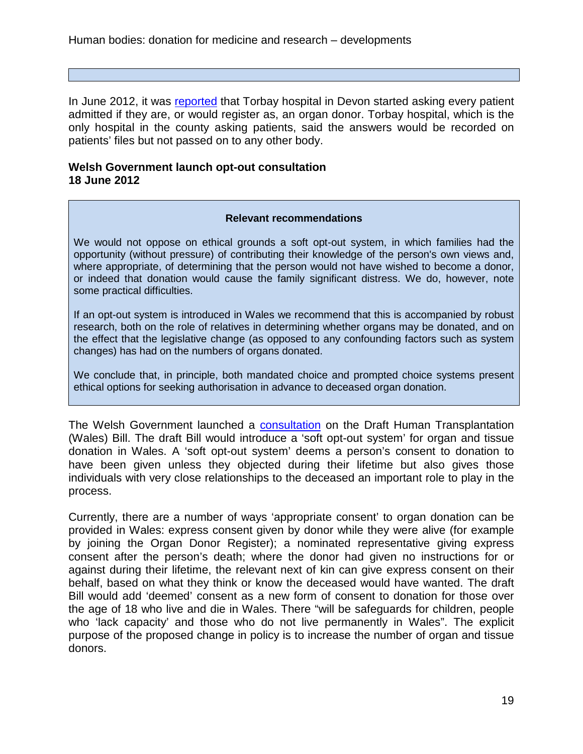In June 2012, it was [reported](http://www.bbc.co.uk/news/uk-england-devon-18435641) that Torbay hospital in Devon started asking every patient admitted if they are, or would register as, an organ donor. Torbay hospital, which is the only hospital in the county asking patients, said the answers would be recorded on patients' files but not passed on to any other body.

# <span id="page-18-0"></span>**Welsh Government launch opt-out consultation 18 June 2012**

#### **Relevant recommendations**

We would not oppose on ethical grounds a soft opt-out system, in which families had the opportunity (without pressure) of contributing their knowledge of the person's own views and, where appropriate, of determining that the person would not have wished to become a donor, or indeed that donation would cause the family significant distress. We do, however, note some practical difficulties.

If an opt-out system is introduced in Wales we recommend that this is accompanied by robust research, both on the role of relatives in determining whether organs may be donated, and on the effect that the legislative change (as opposed to any confounding factors such as system changes) has had on the numbers of organs donated.

We conclude that, in principle, both mandated choice and prompted choice systems present ethical options for seeking authorisation in advance to deceased organ donation.

The Welsh Government launched a [consultation](http://wales.gov.uk/consultations/healthsocialcare/organbill/?lang=en) on the Draft Human Transplantation (Wales) Bill. The draft Bill would introduce a 'soft opt-out system' for organ and tissue donation in Wales. A 'soft opt-out system' deems a person's consent to donation to have been given unless they objected during their lifetime but also gives those individuals with very close relationships to the deceased an important role to play in the process.

Currently, there are a number of ways 'appropriate consent' to organ donation can be provided in Wales: express consent given by donor while they were alive (for example by joining the Organ Donor Register); a nominated representative giving express consent after the person's death; where the donor had given no instructions for or against during their lifetime, the relevant next of kin can give express consent on their behalf, based on what they think or know the deceased would have wanted. The draft Bill would add 'deemed' consent as a new form of consent to donation for those over the age of 18 who live and die in Wales. There "will be safeguards for children, people who 'lack capacity' and those who do not live permanently in Wales". The explicit purpose of the proposed change in policy is to increase the number of organ and tissue donors.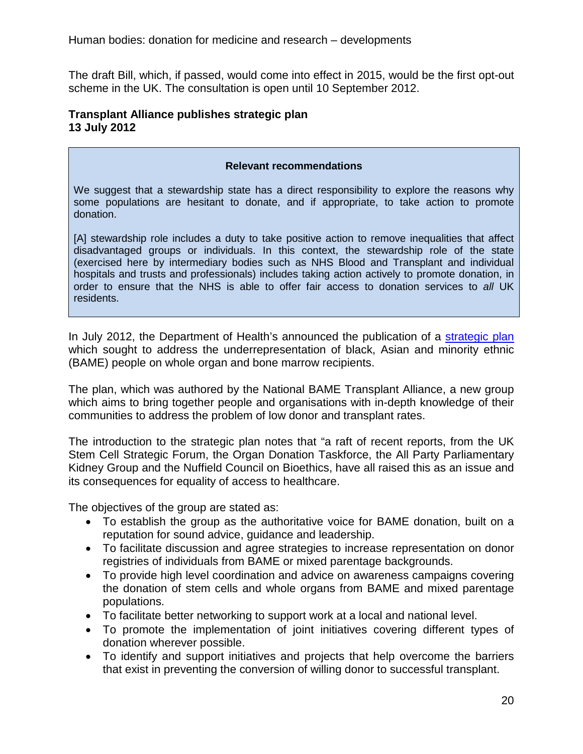The draft Bill, which, if passed, would come into effect in 2015, would be the first opt-out scheme in the UK. The consultation is open until 10 September 2012.

## <span id="page-19-0"></span>**Transplant Alliance publishes strategic plan 13 July 2012**

### **Relevant recommendations**

We suggest that a stewardship state has a direct responsibility to explore the reasons why some populations are hesitant to donate, and if appropriate, to take action to promote donation.

[A] stewardship role includes a duty to take positive action to remove inequalities that affect disadvantaged groups or individuals. In this context, the stewardship role of the state (exercised here by intermediary bodies such as NHS Blood and Transplant and individual hospitals and trusts and professionals) includes taking action actively to promote donation, in order to ensure that the NHS is able to offer fair access to donation services to *all* UK residents.

In July 2012, the Department of Health's announced the publication of a [strategic plan](http://www.dh.gov.uk/health/files/2012/07/2900219-BAME-Strategic-Plan-Web-accesible-pdf.pdf) which sought to address the underrepresentation of black, Asian and minority ethnic (BAME) people on whole organ and bone marrow recipients.

The plan, which was authored by the National BAME Transplant Alliance, a new group which aims to bring together people and organisations with in-depth knowledge of their communities to address the problem of low donor and transplant rates.

The introduction to the strategic plan notes that "a raft of recent reports, from the UK Stem Cell Strategic Forum, the Organ Donation Taskforce, the All Party Parliamentary Kidney Group and the Nuffield Council on Bioethics, have all raised this as an issue and its consequences for equality of access to healthcare.

The objectives of the group are stated as:

- To establish the group as the authoritative voice for BAME donation, built on a reputation for sound advice, guidance and leadership.
- To facilitate discussion and agree strategies to increase representation on donor registries of individuals from BAME or mixed parentage backgrounds.
- To provide high level coordination and advice on awareness campaigns covering the donation of stem cells and whole organs from BAME and mixed parentage populations.
- To facilitate better networking to support work at a local and national level.
- To promote the implementation of joint initiatives covering different types of donation wherever possible.
- To identify and support initiatives and projects that help overcome the barriers that exist in preventing the conversion of willing donor to successful transplant.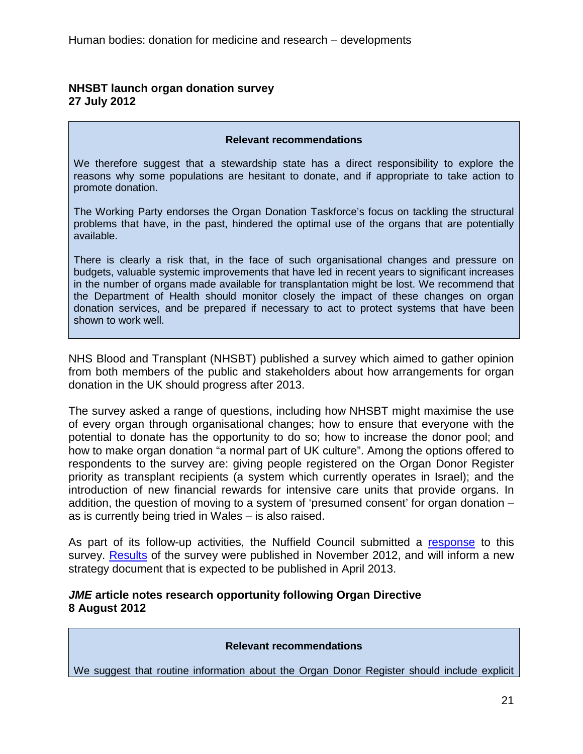# <span id="page-20-0"></span>**NHSBT launch organ donation survey 27 July 2012**

#### **Relevant recommendations**

We therefore suggest that a stewardship state has a direct responsibility to explore the reasons why some populations are hesitant to donate, and if appropriate to take action to promote donation.

The Working Party endorses the Organ Donation Taskforce's focus on tackling the structural problems that have, in the past, hindered the optimal use of the organs that are potentially available.

There is clearly a risk that, in the face of such organisational changes and pressure on budgets, valuable systemic improvements that have led in recent years to significant increases in the number of organs made available for transplantation might be lost. We recommend that the Department of Health should monitor closely the impact of these changes on organ donation services, and be prepared if necessary to act to protect systems that have been shown to work well.

NHS Blood and Transplant (NHSBT) published a survey which aimed to gather opinion from both members of the public and stakeholders about how arrangements for organ donation in the UK should progress after 2013.

The survey asked a range of questions, including how NHSBT might maximise the use of every organ through organisational changes; how to ensure that everyone with the potential to donate has the opportunity to do so; how to increase the donor pool; and how to make organ donation "a normal part of UK culture". Among the options offered to respondents to the survey are: giving people registered on the Organ Donor Register priority as transplant recipients (a system which currently operates in Israel); and the introduction of new financial rewards for intensive care units that provide organs. In addition, the question of moving to a system of 'presumed consent' for organ donation – as is currently being tried in Wales – is also raised.

As part of its follow-up activities, the Nuffield Council submitted a [response](http://www.nuffieldbioethics.org/sites/default/files/files/NHSBT_survey_summary_of_answers.pdf) to this survey. [Results](http://www.organdonation.nhs.uk/ukt/newsroom/statements_and_stances/odt_engagement_exercise.pdf) of the survey were published in November 2012, and will inform a new strategy document that is expected to be published in April 2013.

### <span id="page-20-1"></span>*JME* **article notes research opportunity following Organ Directive 8 August 2012**

### **Relevant recommendations**

We suggest that routine information about the Organ Donor Register should include explicit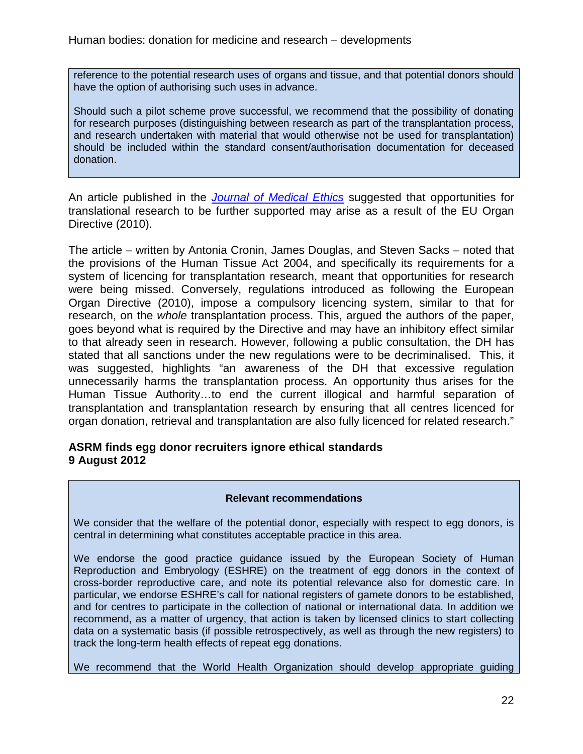reference to the potential research uses of organs and tissue, and that potential donors should have the option of authorising such uses in advance.

Should such a pilot scheme prove successful, we recommend that the possibility of donating for research purposes (distinguishing between research as part of the transplantation process, and research undertaken with material that would otherwise not be used for transplantation) should be included within the standard consent/authorisation documentation for deceased donation.

An article published in the *[Journal of Medical Ethics](http://jme.bmj.com/content/38/10/593.full.pdf+html)* suggested that opportunities for translational research to be further supported may arise as a result of the EU Organ Directive (2010).

The article – written by Antonia Cronin, James Douglas, and Steven Sacks – noted that the provisions of the Human Tissue Act 2004, and specifically its requirements for a system of licencing for transplantation research, meant that opportunities for research were being missed. Conversely, regulations introduced as following the European Organ Directive (2010), impose a compulsory licencing system, similar to that for research, on the *whole* transplantation process. This, argued the authors of the paper, goes beyond what is required by the Directive and may have an inhibitory effect similar to that already seen in research. However, following a public consultation, the DH has stated that all sanctions under the new regulations were to be decriminalised. This, it was suggested, highlights "an awareness of the DH that excessive regulation unnecessarily harms the transplantation process. An opportunity thus arises for the Human Tissue Authority…to end the current illogical and harmful separation of transplantation and transplantation research by ensuring that all centres licenced for organ donation, retrieval and transplantation are also fully licenced for related research."

# <span id="page-21-0"></span>**ASRM finds egg donor recruiters ignore ethical standards 9 August 2012**

### **Relevant recommendations**

We consider that the welfare of the potential donor, especially with respect to egg donors, is central in determining what constitutes acceptable practice in this area.

We endorse the good practice guidance issued by the European Society of Human Reproduction and Embryology (ESHRE) on the treatment of egg donors in the context of cross-border reproductive care, and note its potential relevance also for domestic care. In particular, we endorse ESHRE's call for national registers of gamete donors to be established, and for centres to participate in the collection of national or international data. In addition we recommend, as a matter of urgency, that action is taken by licensed clinics to start collecting data on a systematic basis (if possible retrospectively, as well as through the new registers) to track the long-term health effects of repeat egg donations.

We recommend that the World Health Organization should develop appropriate guiding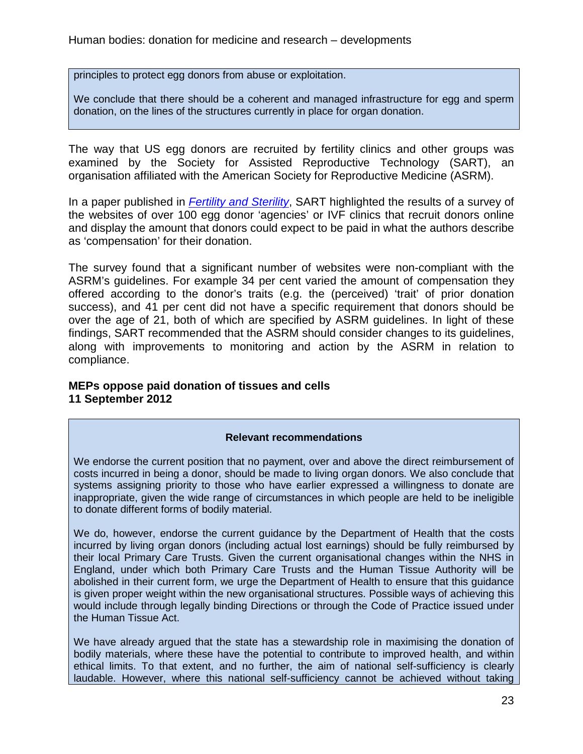principles to protect egg donors from abuse or exploitation.

We conclude that there should be a coherent and managed infrastructure for egg and sperm donation, on the lines of the structures currently in place for organ donation.

The way that US egg donors are recruited by fertility clinics and other groups was examined by the Society for Assisted Reproductive Technology (SART), an organisation affiliated with the American Society for Reproductive Medicine (ASRM).

In a paper published in *[Fertility and Sterility](http://www.fertstert.org/article/S0015-0282%2812%2900705-4/abstract)*, SART highlighted the results of a survey of the websites of over 100 egg donor 'agencies' or IVF clinics that recruit donors online and display the amount that donors could expect to be paid in what the authors describe as 'compensation' for their donation.

The survey found that a significant number of websites were non-compliant with the ASRM's guidelines. For example 34 per cent varied the amount of compensation they offered according to the donor's traits (e.g. the (perceived) 'trait' of prior donation success), and 41 per cent did not have a specific requirement that donors should be over the age of 21, both of which are specified by ASRM guidelines. In light of these findings, SART recommended that the ASRM should consider changes to its guidelines, along with improvements to monitoring and action by the ASRM in relation to compliance.

# <span id="page-22-0"></span>**MEPs oppose paid donation of tissues and cells 11 September 2012**

# **Relevant recommendations**

We endorse the current position that no payment, over and above the direct reimbursement of costs incurred in being a donor, should be made to living organ donors. We also conclude that systems assigning priority to those who have earlier expressed a willingness to donate are inappropriate, given the wide range of circumstances in which people are held to be ineligible to donate different forms of bodily material.

We do, however, endorse the current guidance by the Department of Health that the costs incurred by living organ donors (including actual lost earnings) should be fully reimbursed by their local Primary Care Trusts. Given the current organisational changes within the NHS in England, under which both Primary Care Trusts and the Human Tissue Authority will be abolished in their current form, we urge the Department of Health to ensure that this guidance is given proper weight within the new organisational structures. Possible ways of achieving this would include through legally binding Directions or through the Code of Practice issued under the Human Tissue Act.

We have already argued that the state has a stewardship role in maximising the donation of bodily materials, where these have the potential to contribute to improved health, and within ethical limits. To that extent, and no further, the aim of national self-sufficiency is clearly laudable. However, where this national self-sufficiency cannot be achieved without taking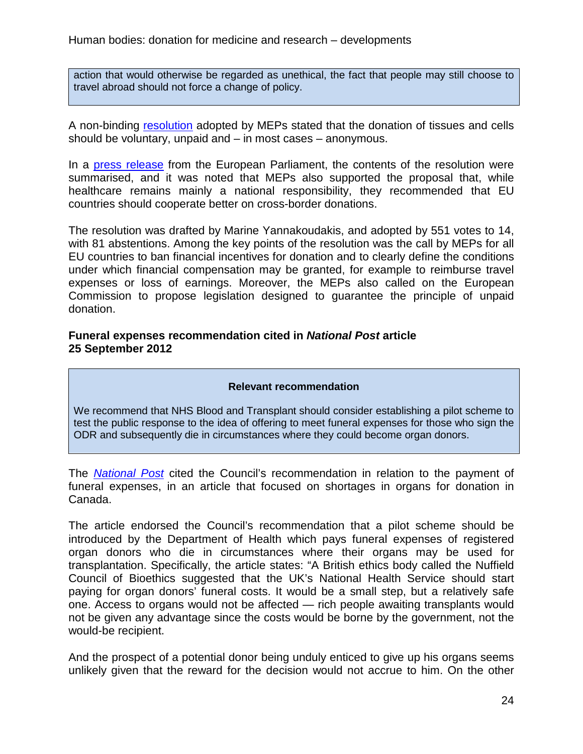action that would otherwise be regarded as unethical, the fact that people may still choose to travel abroad should not force a change of policy.

A non-binding [resolution](http://www.europarl.europa.eu/sides/getDoc.do?pubRef=-//EP//TEXT+TA+P7-TA-2012-0320+0+DOC+XML+V0//EN&language=EN) adopted by MEPs stated that the donation of tissues and cells should be voluntary, unpaid and – in most cases – anonymous.

In a [press release](http://www.europarl.europa.eu/pdfs/news/expert/infopress/20120907IPR50817/20120907IPR50817_en.pdf) from the European Parliament, the contents of the resolution were summarised, and it was noted that MEPs also supported the proposal that, while healthcare remains mainly a national responsibility, they recommended that EU countries should cooperate better on cross-border donations.

The resolution was drafted by Marine Yannakoudakis, and adopted by 551 votes to 14, with 81 abstentions. Among the key points of the resolution was the call by MEPs for all EU countries to ban financial incentives for donation and to clearly define the conditions under which financial compensation may be granted, for example to reimburse travel expenses or loss of earnings. Moreover, the MEPs also called on the European Commission to propose legislation designed to guarantee the principle of unpaid donation.

### <span id="page-23-0"></span>**Funeral expenses recommendation cited in** *National Post* **article 25 September 2012**

### **Relevant recommendation**

We recommend that NHS Blood and Transplant should consider establishing a pilot scheme to test the public response to the idea of offering to meet funeral expenses for those who sign the ODR and subsequently die in circumstances where they could become organ donors.

The *[National Post](http://fullcomment.nationalpost.com/2012/09/25/marni-soupcoff-hands-off-our-hearts-and-lungs-corneas-kidneys-and-tissues/)* cited the Council's recommendation in relation to the payment of funeral expenses, in an article that focused on shortages in organs for donation in Canada.

The article endorsed the Council's recommendation that a pilot scheme should be introduced by the Department of Health which pays funeral expenses of registered organ donors who die in circumstances where their organs may be used for transplantation. Specifically, the article states: "A British ethics body called the Nuffield Council of Bioethics suggested that the UK's National Health Service should start paying for organ donors' funeral costs. It would be a small step, but a relatively safe one. Access to organs would not be affected — rich people awaiting transplants would not be given any advantage since the costs would be borne by the government, not the would-be recipient.

And the prospect of a potential donor being unduly enticed to give up his organs seems unlikely given that the reward for the decision would not accrue to him. On the other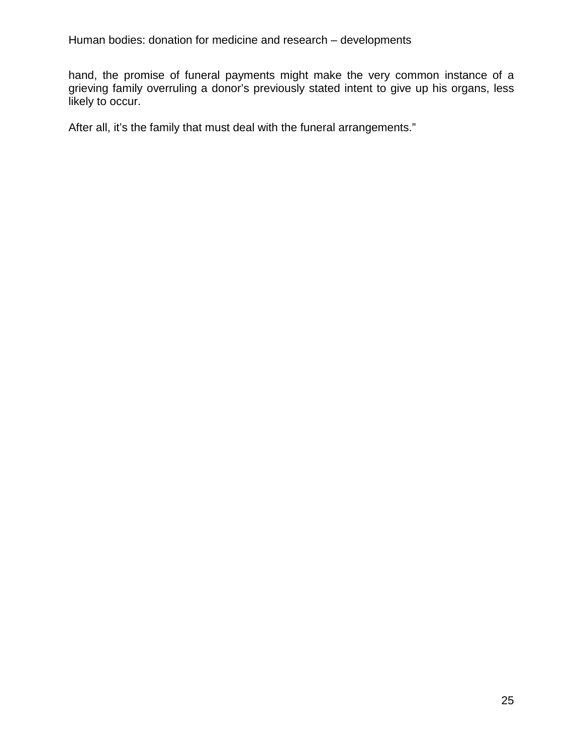hand, the promise of funeral payments might make the very common instance of a grieving family overruling a donor's previously stated intent to give up his organs, less likely to occur.

After all, it's the family that must deal with the funeral arrangements."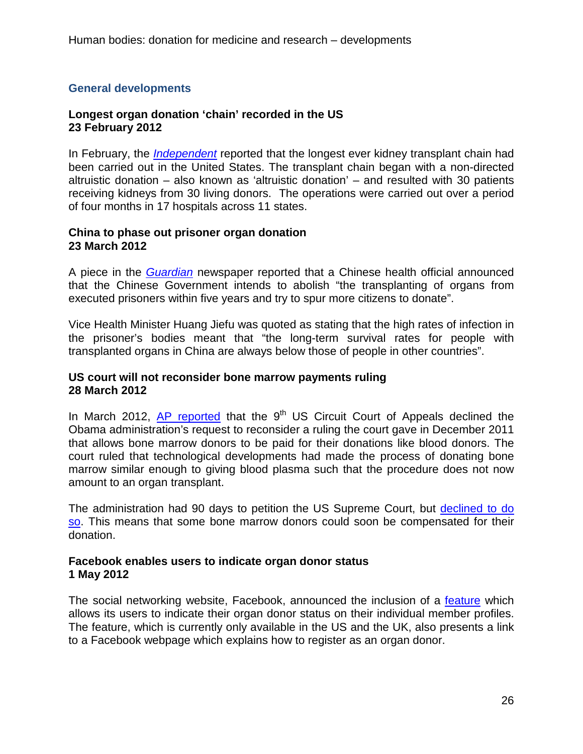# <span id="page-25-0"></span>**General developments**

## <span id="page-25-1"></span>**Longest organ donation 'chain' recorded in the US 23 February 2012**

In February, the *[Independent](http://www.independent.co.uk/life-style/health-and-families/health-news/there-was-someone-who-needed-it-60-lives-30-kidneys-all-linked-in-longest-donor-chain-7320519.html)* reported that the longest ever kidney transplant chain had been carried out in the United States. The transplant chain began with a non-directed altruistic donation – also known as 'altruistic donation' – and resulted with 30 patients receiving kidneys from 30 living donors. The operations were carried out over a period of four months in 17 hospitals across 11 states.

### <span id="page-25-2"></span>**China to phase out prisoner organ donation 23 March 2012**

A piece in the *Guardian* newspaper reported that a Chinese health official announced that the Chinese Government intends to abolish "the transplanting of organs from executed prisoners within five years and try to spur more citizens to donate".

Vice Health Minister Huang Jiefu was quoted as stating that the high rates of infection in the prisoner's bodies meant that "the long-term survival rates for people with transplanted organs in China are always below those of people in other countries".

### <span id="page-25-3"></span>**US court will not reconsider bone marrow payments ruling 28 March 2012**

In March 2012, [AP reported](http://finance.yahoo.com/news/court-wont-reconsider-bone-marrow-132507105.html) that the  $9<sup>th</sup> US Circuit Court of Appeals declined the$ Obama administration's request to reconsider a ruling the court gave in December 2011 that allows bone marrow donors to be paid for their donations like blood donors. The court ruled that technological developments had made the process of donating bone marrow similar enough to giving blood plasma such that the procedure does not now amount to an organ transplant.

The administration had 90 days to petition the US Supreme Court, but [declined to do](http://vitals.nbcnews.com/_news/2012/06/26/12423506-bone-marrow-donors-may-be-compensated-after-ruling-stands?lite)  [so.](http://vitals.nbcnews.com/_news/2012/06/26/12423506-bone-marrow-donors-may-be-compensated-after-ruling-stands?lite) This means that some bone marrow donors could soon be compensated for their donation.

### <span id="page-25-4"></span>**Facebook enables users to indicate organ donor status 1 May 2012**

The social networking website, Facebook, announced the inclusion of a [feature](http://www.facebook.com/help/organ-donation) which allows its users to indicate their organ donor status on their individual member profiles. The feature, which is currently only available in the US and the UK, also presents a link to a Facebook webpage which explains how to register as an organ donor.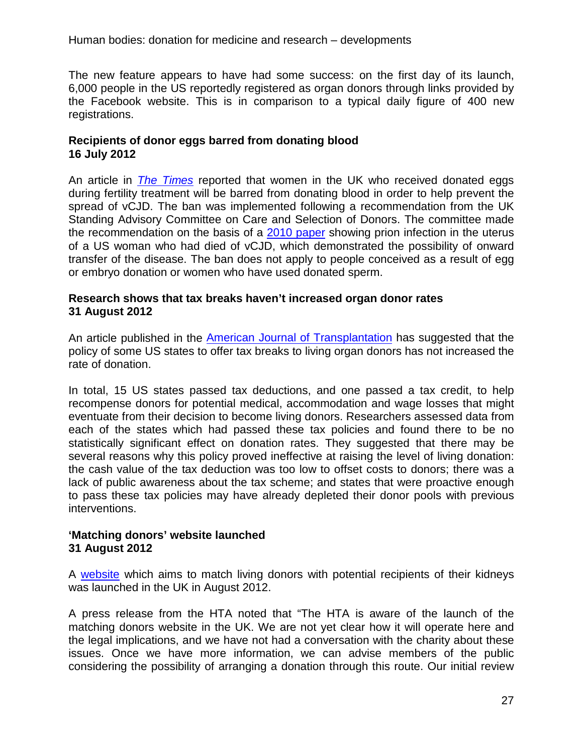The new feature appears to have had some success: on the first day of its launch, 6,000 people in the US reportedly registered as organ donors through links provided by the Facebook website. This is in comparison to a typical daily figure of 400 new registrations.

# <span id="page-26-0"></span>**Recipients of donor eggs barred from donating blood 16 July 2012**

An article in *[The Times](http://www.thetimes.co.uk/tto/science/medicine/article3476324.ece)* reported that women in the UK who received donated eggs during fertility treatment will be barred from donating blood in order to help prevent the spread of vCJD. The ban was implemented following a recommendation from the UK Standing Advisory Committee on Care and Selection of Donors. The committee made the recommendation on the basis of a [2010 paper](http://www.plosone.org/article/info%3Adoi%2F10.1371%2Fjournal.pone.0008765) showing prion infection in the uterus of a US woman who had died of vCJD, which demonstrated the possibility of onward transfer of the disease. The ban does not apply to people conceived as a result of egg or embryo donation or women who have used donated sperm.

# <span id="page-26-1"></span>**Research shows that tax breaks haven't increased organ donor rates 31 August 2012**

An article published in the [American Journal of Transplantation](http://onlinelibrary.wiley.com/doi/10.1111/j.1600-6143.2012.04044.x/abstract) has suggested that the policy of some US states to offer tax breaks to living organ donors has not increased the rate of donation.

In total, 15 US states passed tax deductions, and one passed a tax credit, to help recompense donors for potential medical, accommodation and wage losses that might eventuate from their decision to become living donors. Researchers assessed data from each of the states which had passed these tax policies and found there to be no statistically significant effect on donation rates. They suggested that there may be several reasons why this policy proved ineffective at raising the level of living donation: the cash value of the tax deduction was too low to offset costs to donors; there was a lack of public awareness about the tax scheme; and states that were proactive enough to pass these tax policies may have already depleted their donor pools with previous interventions.

# <span id="page-26-2"></span>**'Matching donors' website launched 31 August 2012**

A website which aims to match living donors with potential recipients of their kidneys was launched in the UK in August 2012.

A press release from the HTA noted that "The HTA is aware of the launch of the matching donors website in the UK. We are not yet clear how it will operate here and the legal implications, and we have not had a conversation with the charity about these issues. Once we have more information, we can advise members of the public considering the possibility of arranging a donation through this route. Our initial review